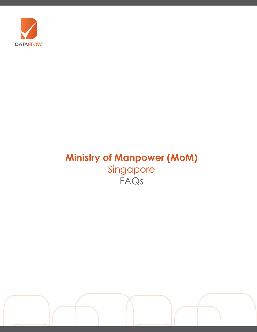

# **Ministry of Manpower (MoM)** Singapore FAQs

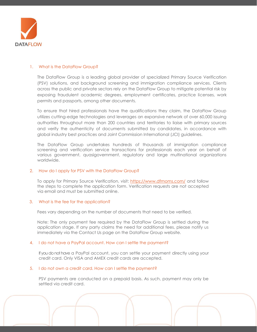

## 1. What is the DataFlow Group?

The DataFlow Group is a leading global provider of specialized Primary Source Verification (PSV) solutions, and background screening and immigration compliance services. Clients across the public and private sectors rely on the DataFlow Group to mitigate potential risk by exposing fraudulent academic degrees, employment certificates, practice licenses, work permits and passports, among other documents.

To ensure that hired professionals have the qualifications they claim, the DataFlow Group utilizes cutting-edge technologies and leverages an expansive network of over 60,000 issuing authorities throughout more than 200 countries and territories to liaise with primary sources and verify the authenticity of documents submitted by candidates, in accordance with global industry best practices and Joint Commission International (JCI) guidelines.

The DataFlow Group undertakes hundreds of thousands of immigration compliance screening and verification service transactions for professionals each year on behalf of various government, quasigovernment, regulatory and large multinational organizations worldwide.

## 2. How do I apply for PSV with the DataFlow Group?

To apply for Primary Source Verification, visit: [https://www.dfmoms.com/](http://dataflowgroup.com/payment.html) and follow the steps to complete the application form. Verification requests are not accepted via email and must be submitted online.

## 3. What is the fee for the application?

Fees vary depending on the number of documents that need to be verified.

Note: The only payment fee required by the DataFlow Group is settled during the application stage. If any party claims the need for additional fees, please notify us immediately via the Contact Us page on the DataFlow Group website.

#### 4. I do not have a PayPal account. How can I settle the payment?

If you do not have a PayPal account, you can settle your payment directly using your credit card. Only VISA and AMEX credit cards are accepted.

#### 5. I do not own a credit card. How can I settle the payment?

PSV payments are conducted on a prepaid basis. As such, payment may only be settled via credit card.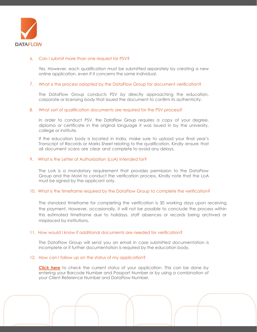

## 6. Can I submit more than one request for PSV?

Yes. However, each qualification must be submitted separately by creating a new online application, even if it concerns the same individual.

## 7. What is the process adopted by the DataFlow Group for document verification?

The DataFlow Group conducts PSV by directly approaching the education, corporate or licensing body that issued the document to confirm its authenticity.

#### 8. What sort of qualification documents are required for the PSV process?

In order to conduct PSV, the DataFlow Group requires a copy of your degree, diploma or certificate in the original language it was issued in by the university, college or institute.

If the education body is located in India, make sure to upload your final year's Transcript of Records or Marks Sheet relating to the qualification. Kindly ensure that all document scans are clear and complete to avoid any delays.

## 9. What is the Letter of Authorization (LoA) intended for?

The LoA is a mandatory requirement that provides permission to the DataFlow Group and the MoM to conduct the verification process. Kindly note that the LoA must be signed by the applicant only.

### 10. What is the timeframe required by the DataFlow Group to complete the verification?

The standard timeframe for completing the verification is 30 working days upon receiving the payment. However, occasionally, it will not be possible to conclude the process within this estimated timeframe due to holidays, staff absences or records being archived or misplaced by institutions.

#### 11. How would I know if additional documents are needed for verification?

The DataFlow Group will send you an email in case submitted documentation is incomplete or if further documentation is required by the education body.

#### 12. How can I follow up on the status of my application?

**[Click here](http://dataflowstatus.com/applicationstatus)** to check the current status of your application. This can be done by entering your Barcode Number and Passport Number or by using a combination of your Client Reference Number and DataFlow Number.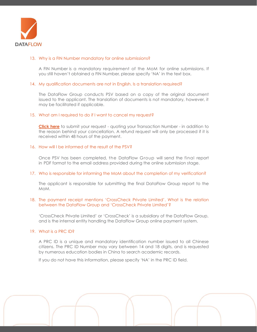

## 13. Why is a FIN Number mandatory for online submissions?

A FIN Number is a mandatory requirement of the MoM for online submissions. If you still haven't obtained a FIN Number, please specify 'NA' in the text box.

#### 14. My qualification documents are not in English. Is a translation required?

The DataFlow Group conducts PSV based on a copy of the original document issued to the applicant. The translation of documents is not mandatory, however, it may be facilitated if applicable.

## 15. What am I required to do if I want to cancel my request?

**[Click here](https://corp.dataflowgroup.com/faq.html)** to submit your request - quoting your Transaction Number - in addition to the reason behind your cancellation. A refund request will only be processed if it is received within 48 hours of the payment.

## 16. How will I be informed of the result of the PSV?

Once PSV has been completed, the DataFlow Group will send the final report in PDF format to the email address provided during the online submission stage.

#### 17. Who is responsible for informing the MoM about the completion of my verification?

The applicant is responsible for submitting the final DataFlow Group report to the MoM.

## 18. The payment receipt mentions 'CrossCheck Private Limited'. What is the relation between the DataFlow Group and 'CrossCheck Private Limited'?

'CrossCheck Private Limited' or 'CrossCheck' is a subsidiary of the DataFlow Group, and is the internal entity handling the DataFlow Group online payment system.

## 19. What is a PRC ID?

A PRC ID is a unique and mandatory identification number issued to all Chinese citizens. The PRC ID Number may vary between 14 and 18 digits, and is requested by numerous education bodies in China to search academic records.

If you do not have this information, please specify 'NA' in the PRC ID field.